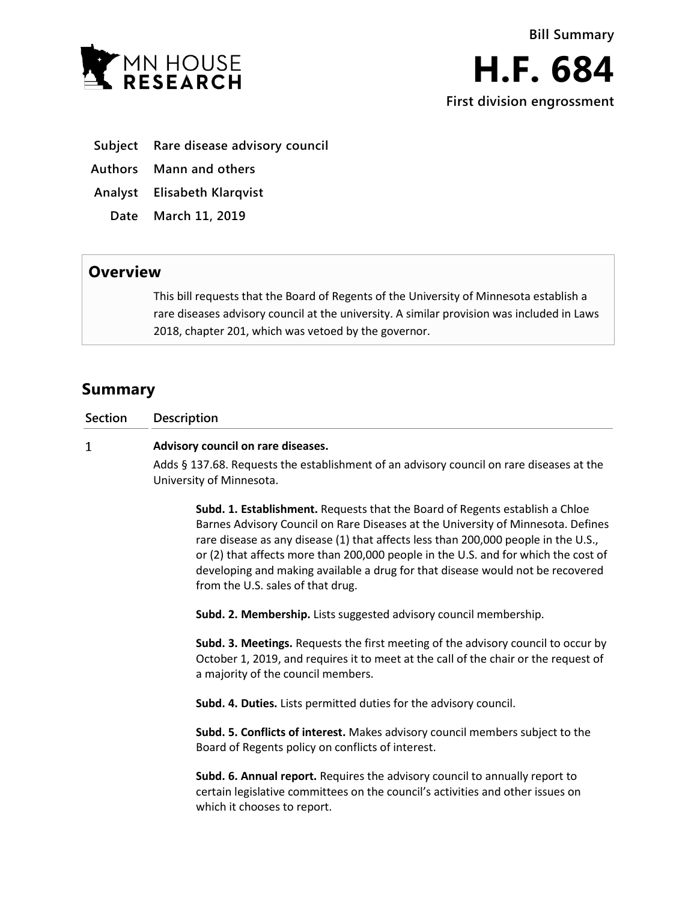**Subject Rare disease advisory council**

**Authors Mann and others**

**Analyst Elisabeth Klarqvist**

**Date March 11, 2019**

## **Overview**

This bill requests that the Board of Regents of the University of Minnesota establish a rare diseases advisory council at the university. A similar provision was included in Laws 2018, chapter 201, which was vetoed by the governor.

# **Summary**

**Section Description**

#### $\mathbf{1}$ **Advisory council on rare diseases.**

Adds § 137.68. Requests the establishment of an advisory council on rare diseases at the University of Minnesota.

**Subd. 1. Establishment.** Requests that the Board of Regents establish a Chloe Barnes Advisory Council on Rare Diseases at the University of Minnesota. Defines rare disease as any disease (1) that affects less than 200,000 people in the U.S., or (2) that affects more than 200,000 people in the U.S. and for which the cost of developing and making available a drug for that disease would not be recovered from the U.S. sales of that drug.

**Subd. 2. Membership.** Lists suggested advisory council membership.

**Subd. 3. Meetings.** Requests the first meeting of the advisory council to occur by October 1, 2019, and requires it to meet at the call of the chair or the request of a majority of the council members.

**Subd. 4. Duties.** Lists permitted duties for the advisory council.

**Subd. 5. Conflicts of interest.** Makes advisory council members subject to the Board of Regents policy on conflicts of interest.

**Subd. 6. Annual report.** Requires the advisory council to annually report to certain legislative committees on the council's activities and other issues on which it chooses to report.